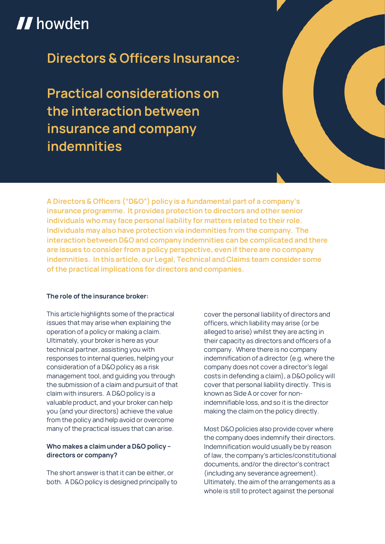# **II** howden

**Directors & Officers Insurance:**

**Practical considerations on the interaction between insurance and company indemnities**



**A Directors & Officers ("D&O") policy is a fundamental part of a company's insurance programme. It provides protection to directors and other senior individuals who may face personal liability for matters related to their role. Individuals may also have protection via indemnities from the company. The interaction between D&O and company indemnities can be complicated and there are issues to consider from a policy perspective, even if there are no company indemnities. In this article, our Legal, Technical and Claims team consider some of the practical implications for directors and companies.**

#### **The role of the insurance broker:**

**This article highlights some of the practical issues that may arise when explaining the operation of a policy or making a claim. Ultimately, your broker is here as your technical partner, assisting you with responses to internal queries, helping your consideration of a D&O policy as a risk management tool, and guiding you through the submission of a claim and pursuit of that claim with insurers. A D&O policy is a valuable product, and your broker can help you (and your directors) achieve the value from the policy and help avoid or overcome many of the practical issues that can arise.**

## **Who makes a claim under a D&O policy – directors or company?**

**The short answer is that it can be either, or both. A D&O policy is designed principally to**  **cover the personal liability of directors and officers, which liability may arise (or be alleged to arise) whilst they are acting in their capacity as directors and officers of a company. Where there is no company indemnification of a director (e.g. where the company does not cover a director's legal costs in defending a claim), a D&O policy will cover that personal liability directly. This is known as Side A or cover for nonindemnifiable loss, and so it is the director making the claim on the policy directly.**

**Most D&O policies also provide cover where the company does indemnify their directors. Indemnification would usually be by reason of law, the company's articles/constitutional documents, and/or the director's contract (including any severance agreement). Ultimately, the aim of the arrangements as a whole is still to protect against the personal**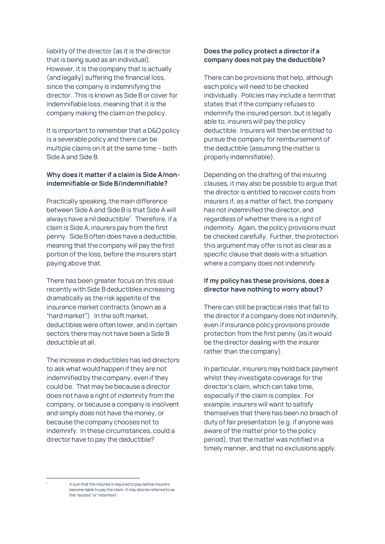**liability of the director (as it is the director that is being sued as an individual). However, it is the company that is actually (and legally) suffering the financial loss, since the company is indemnifying the director. This is known as Side B or cover for indemnifiable loss, meaning that it is the company making the claim on the policy.**

**It is important to remember that a D&O policy is a severable policy and there can be multiple claims on it at the same time – both Side A and Side B.**

## **Why does it matter if a claim is Side A/nonindemnifiable or Side B/indemnifiable?**

**Practically speaking, the main difference between Side A and Side B is that Side A will always have a nil deductible<sup>1</sup> . Therefore, if a claim is Side A, insurers pay from the first penny. Side B often does have a deductible, meaning that the company will pay the first portion of the loss, before the insurers start paying above that.**

**There has been greater focus on this issue recently with Side B deductibles increasing dramatically as the risk appetite of the insurance market contracts (known as a "hard market"). In the soft market, deductibles were often lower, and in certain sectors there may not have been a Side B deductible at all.**

**The increase in deductibles has led directors to ask what would happen if they are not indemnified by the company, even if they could be. That may be because a director does not have a right of indemnity from the company, or because a company is insolvent and simply does not have the money, or because the company chooses not to indemnify. In these circumstances, could a director have to pay the deductible?**

# **Does the policy protect a director if a company does not pay the deductible?**

**There can be provisions that help, although each policy will need to be checked individually. Policies may include a term that states that if the company refuses to indemnify the insured person, but is legally able to, insurers will pay the policy deductible. Insurers will then be entitled to pursue the company for reimbursement of the deductible (assuming the matter is properly indemnifiable).**

**Depending on the drafting of the insuring clauses, it may also be possible to argue that the director is entitled to recover costs from insurers if, as a matter of fact, the company has not indemnified the director, and regardless of whether there is a right of indemnity. Again, the policy provisions must be checked carefully. Further, the protection this argument may offer is not as clear as a specific clause that deals with a situation where a company does not indemnify.**

## **If my policy has these provisions, does a director have nothing to worry about?**

**There can still be practical risks that fall to the director if a company does not indemnify, even if insurance policy provisions provide protection from the first penny (as it would be the director dealing with the insurer rather than the company).**

**In particular, insurers may hold back payment whilst they investigate coverage for the director's claim, which can take time, especially if the claim is complex. For example, insurers will want to satisfy themselves that there has been no breach of duty of fair presentation (e.g. if anyone was aware of the matter prior to the policy period), that the matter was notified in a timely manner, and that no exclusions apply.** 

**<sup>1</sup> A sum that the insured is required to pay before insurers become liable to pay the claim. It may also be referred to as the "excess" or "retention".**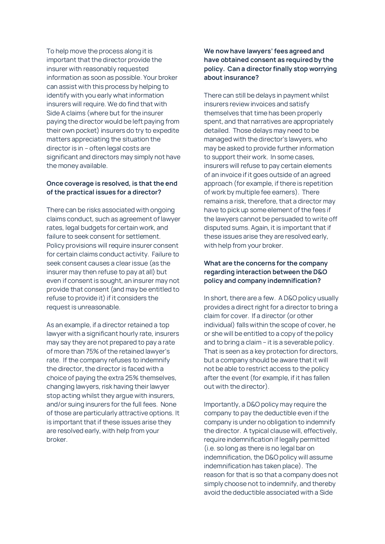**To help move the process along it is important that the director provide the insurer with reasonably requested information as soon as possible. Your broker can assist with this process by helping to identify with you early what information insurers will require. We do find that with Side A claims (where but for the insurer paying the director would be left paying from their own pocket) insurers do try to expedite matters appreciating the situation the director is in – often legal costs are significant and directors may simply not have the money available.**

# **Once coverage is resolved, is that the end of the practical issues for a director?**

**There can be risks associated with ongoing claims conduct, such as agreement of lawyer rates, legal budgets for certain work, and failure to seek consent for settlement. Policy provisions will require insurer consent for certain claims conduct activity. Failure to seek consent causes a clear issue (as the insurer may then refuse to pay at all) but even if consent is sought, an insurer may not provide that consent (and may be entitled to refuse to provide it) if it considers the request is unreasonable.**

**As an example, if a director retained a top lawyer with a significant hourly rate, insurers may say they are not prepared to pay a rate of more than 75% of the retained lawyer's rate. If the company refuses to indemnify the director, the director is faced with a choice of paying the extra 25% themselves, changing lawyers, risk having their lawyer stop acting whilst they argue with insurers, and/or suing insurers for the full fees. None of those are particularly attractive options. It is important that if these issues arise they are resolved early, with help from your broker.**

# **We now have lawyers'fees agreed and have obtained consent as required by the policy. Can a director finally stop worrying about insurance?**

**There can still be delays in payment whilst insurers review invoices and satisfy themselves that time has been properly spent, and that narratives are appropriately detailed. Those delays may need to be managed with the director's lawyers, who may be asked to provide further information to support their work. In some cases, insurers will refuse to pay certain elements of an invoice if it goes outside of an agreed approach (for example, if there is repetition of work by multiple fee earners). There remains a risk, therefore, that a director may have to pick up some element of the fees if the lawyers cannot be persuaded to write off disputed sums. Again, it is important that if these issues arise they are resolved early, with help from your broker.**

## **What are the concerns for the company regarding interaction between the D&O policy and company indemnification?**

**In short, there are a few. A D&O policy usually provides a direct right for a director to bring a claim for cover. If a director (or other individual) falls within the scope of cover, he or she will be entitled to a copy of the policy and to bring a claim – it is a severable policy. That is seen as a key protection for directors, but a company should be aware that it will not be able to restrict access to the policy after the event (for example, if it has fallen out with the director).**

**Importantly, a D&O policy may require the company to pay the deductible even if the company is under no obligation to indemnify the director. A typical clause will, effectively, require indemnification if legally permitted (i.e. so long as there is no legal bar on indemnification, the D&O policy will assume indemnification has taken place). The reason for that is so that a company does not simply choose not to indemnify, and thereby avoid the deductible associated with a Side**